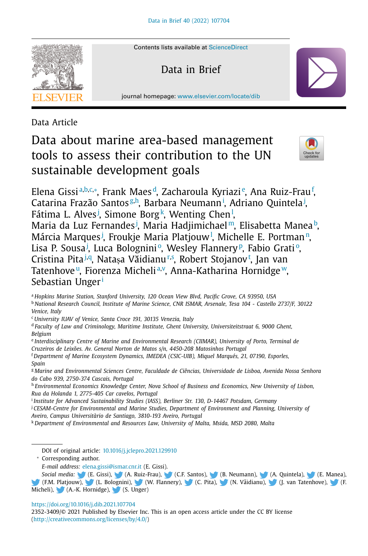

Contents lists available at [ScienceDirect](http://www.ScienceDirect.com)

Data in Brief

journal homepage: [www.elsevier.com/locate/dib](http://www.elsevier.com/locate/dib)

Data Article

# Data about marine area-based management tools to assess their contribution to the UN sustainable development goals



Elena Gissiª,b,c,∗, Frank Maes<sup>d</sup>, Zacharoula Kyriazi<sup>e</sup>, Ana Ruiz-Frau<sup>f</sup>, Catarina Frazão Santos<sup>g,h</sup>, Barbara Neumann<sup>i</sup>, Adriano Quintela<sup>j</sup>, Fátima L. Alves<sup>j</sup>[,](#page-1-0) Simone Borg<sup>k</sup>, Wenting Chen<sup>l</sup>, Maria da Luz Fernandes<sup>j</sup>, Maria Hadjimichael™, Elisabetta Manea<sup>b</sup>, Márcia Marques<sup>j</sup>[,](#page-1-0) Froukje Maria Platjouw<sup>1</sup>, Michelle E. Portman<u>[n,](#page-1-0)</u> Lisa P. S[o](#page-1-0)usa<sup>j</sup>, Luca Bologniniº, Wesley Flanneryº, Fabio Gratiº, Cristina Pita<sup>j[,q](#page-1-0)</sup>, Natașa Văidianu<sup>[r,s](#page-1-0)</sup>[,](#page-1-0) Robert Stojanov<sup>t</sup>, Jan van Tatenhove", Fiorenza Micheli<sup>a[,v](#page-1-0)</sup>, Anna-Katharina Hornidge'<sup>w</sup>, Sebastian Unger<sup>i</sup>

<sup>a</sup> *Hopkins Marine Station, Stanford University, 120 Ocean View Blvd, Pacific Grove, CA 93950, USA*

<sup>b</sup> *National Research Council, Institute of Marine Science, CNR ISMAR, Arsenale, Tesa 104 - Castello 2737/F, 30122 Venice, Italy*

<sup>c</sup> *University IUAV of Venice, Santa Croce 191, 30135 Venezia, Italy*

<sup>d</sup> *Faculty of Law and Criminology, Maritime Institute, Ghent University, Universiteitstraat 6, 9000 Ghent, Belgium*

<sup>e</sup> *Interdisciplinary Centre of Marine and Environmental Research (CIIMAR), University of Porto, Terminal de Cruzeiros de Leixões. Av. General Norton de Matos s/n, 4450-208 Matosinhos Portugal*

<sup>f</sup> *Department of Marine Ecosystem Dynamics, IMEDEA (CSIC-UIB), Miquel Marqués, 21, 07190, Esporles, Spain*

<sup>g</sup> *Marine and Environmental Sciences Centre, Faculdade de Ciências, Universidade de Lisboa, Avenida Nossa Senhora do Cabo 939, 2750-374 Cascais, Portugal*

<sup>h</sup> *Environmental Economics Knowledge Center, Nova School of Business and Economics, New University of Lisbon, Rua da Holanda 1, 2775-405 Car cavelos, Portugal*

<sup>i</sup> *Institute for Advanced Sustainability Studies (IASS), Berliner Str. 130, D-14467 Potsdam, Germany*

<sup>j</sup> *CESAM-Centre for Environmental and Marine Studies, Department of Environment and Planning, University of Aveiro, Campus Universitàrio de Santiago, 3810-193 Aveiro, Portugal*

<sup>k</sup> *Department of Environmental and Resources Law, University of Malta, Msida, MSD 2080, Malta*

DOI of original article: [10.1016/j.jclepro.2021.129910](https://doi.org/10.1016/j.jclepro.2021.129910)

<sup>∗</sup> Corresponding author.

*E-mail address:* [elena.gissi@ismar.cnr.it](mailto:elena.gissi@ismar.cnr.it) (E. Gissi).

Social *media:* (E. Gissi), (A. Ruiz-Frau), (C.F. Santos), (B. Neumann), (A. Quintela), (E. Manea), (F.M. Platjou[w\),](https://twitter.com/GissiElena) (L. Bol[ogni](https://twitter.com/Aina_)ni), (W. Fl[anne](https://twitter.com/CFrazaoSantos)ry), (C. P[ita\),](https://twitter.com/BN_FutureOcean) (N. Vaidia[nu\),](https://twitter.com/AdrianoQuintel1) ˘ (J. van Ta[tenho](https://twitter.com/ElisabettaManea)ve), (F. [Mich](https://twitter.com/PlatjouwNIVA)eli), (A.-K. [Horn](https://twitter.com/Lucabolog)idge), (S. [Unge](https://twitter.com/WesleyFlannery)r)

<https://doi.org/10.1016/j.dib.2021.107704>

2352-3409/© 2021 Published by Elsevier Inc. This is an open access article under the CC BY license [\(http://creativecommons.org/licenses/by/4.0/\)](http://creativecommons.org/licenses/by/4.0/)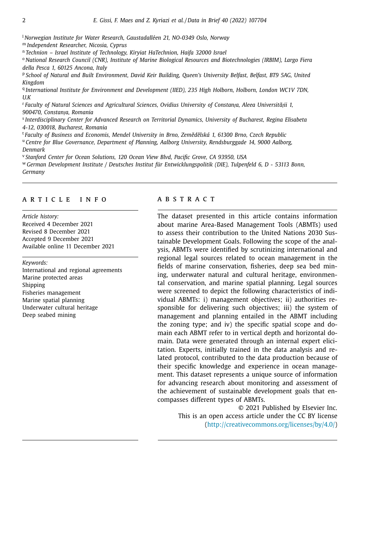<span id="page-1-0"></span><sup>l</sup> *Norwegian Institute for Water Research, Gaustadalléen 21, NO-0349 Oslo, Norway* <sup>m</sup> *Independent Researcher, Nicosia, Cyprus*

<sup>n</sup> *Technion – Israel Institute of Technology, Kiryiat HaTechnion, Haifa 32000 Israel*

<sup>o</sup> *National Research Council (CNR), Institute of Marine Biological Resources and Biotechnologies (IRBIM), Largo Fiera della Pesca 1, 60125 Ancona, Italy*

<sup>p</sup> School of Natural and Built Environment, David Keir Building, Queen's University Belfast, Belfast, BT9 5AG, United *Kingdom*

<sup>q</sup> *International Institute for Environment and Development (IIED), 235 High Holborn, Holborn, London WC1V 7DN, U.K*

<sup>r</sup> Faculty of Natural Sciences and Agricultural Sciences, Ovidius University of Constanta, Aleea Universității 1, *900470, Constanța, Romania*

<sup>s</sup> *Interdisciplinary Center for Advanced Research on Territorial Dynamics, University of Bucharest, Regina Elisabeta 4-12, 030018, Bucharest, Romania*

<sup>t</sup> *Faculty of Business and Economis, Mendel University in Brno, Zemedˇ elská 1, ˇ 61300 Brno, Czech Republic* <sup>u</sup> *Centre for Blue Governance, Department of Planning, Aalborg University, Rendsburggade 14, 9000 Aalborg, Denmark*

<sup>v</sup> *Stanford Center for Ocean Solutions, 120 Ocean View Blvd, Pacific Grove, CA 93950, USA*

<sup>w</sup> *German Development Institute / Deutsches Institut für Entwicklungspolitik (DIE), Tulpenfeld 6, D - 53113 Bonn, Germany*

## a r t i c l e i n f o

*Article history:* Received 4 December 2021 Revised 8 December 2021 Accepted 9 December 2021 Available online 11 December 2021

#### *Keywords:*

International and regional agreements Marine protected areas Shipping Fisheries management Marine spatial planning Underwater cultural heritage Deep seabed mining

## a b s t r a c t

The dataset presented in this article contains information about marine Area-Based Management Tools (ABMTs) used to assess their contribution to the United Nations 2030 Sustainable Development Goals. Following the scope of the analysis, ABMTs were identified by scrutinizing international and regional legal sources related to ocean management in the fields of marine conservation, fisheries, deep sea bed mining, underwater natural and cultural heritage, environmental conservation, and marine spatial planning. Legal sources were screened to depict the following characteristics of individual ABMTs: i) management objectives; ii) authorities responsible for delivering such objectives; iii) the system of management and planning entailed in the ABMT including the zoning type; and iv) the specific spatial scope and domain each ABMT refer to in vertical depth and horizontal domain. Data were generated through an internal expert elicitation. Experts, initially trained in the data analysis and related protocol, contributed to the data production because of their specific knowledge and experience in ocean management. This dataset represents a unique source of information for advancing research about monitoring and assessment of the achievement of sustainable development goals that encompasses different types of ABMTs.

> © 2021 Published by Elsevier Inc. This is an open access article under the CC BY license [\(http://creativecommons.org/licenses/by/4.0/\)](http://creativecommons.org/licenses/by/4.0/)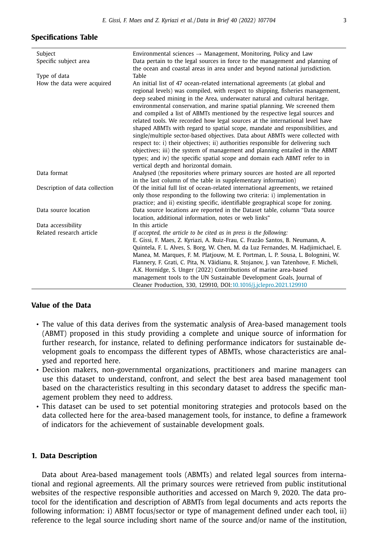| Subject                        | Environmental sciences $\rightarrow$ Management, Monitoring, Policy and Law                                                                                                                                                                                                                                                                                                                                                                                                                                                                                                                                                                                                                                                                                                                                                                                                                                                                      |
|--------------------------------|--------------------------------------------------------------------------------------------------------------------------------------------------------------------------------------------------------------------------------------------------------------------------------------------------------------------------------------------------------------------------------------------------------------------------------------------------------------------------------------------------------------------------------------------------------------------------------------------------------------------------------------------------------------------------------------------------------------------------------------------------------------------------------------------------------------------------------------------------------------------------------------------------------------------------------------------------|
| Specific subject area          | Data pertain to the legal sources in force to the management and planning of<br>the ocean and coastal areas in area under and beyond national jurisdiction.                                                                                                                                                                                                                                                                                                                                                                                                                                                                                                                                                                                                                                                                                                                                                                                      |
| Type of data                   | Table                                                                                                                                                                                                                                                                                                                                                                                                                                                                                                                                                                                                                                                                                                                                                                                                                                                                                                                                            |
| How the data were acquired     | An initial list of 47 ocean-related international agreements (at global and<br>regional levels) was compiled, with respect to shipping, fisheries management,<br>deep seabed mining in the Area, underwater natural and cultural heritage,<br>environmental conservation, and marine spatial planning. We screened them<br>and compiled a list of ABMTs mentioned by the respective legal sources and<br>related tools. We recorded how legal sources at the international level have<br>shaped ABMTs with regard to spatial scope, mandate and responsibilities, and<br>single/multiple sector-based objectives. Data about ABMTs were collected with<br>respect to: i) their objectives; ii) authorities responsible for delivering such<br>objectives; iii) the system of management and planning entailed in the ABMT<br>types; and iv) the specific spatial scope and domain each ABMT refer to in<br>vertical depth and horizontal domain. |
| Data format                    | Analysed (the repositories where primary sources are hosted are all reported<br>in the last column of the table in supplementary information)                                                                                                                                                                                                                                                                                                                                                                                                                                                                                                                                                                                                                                                                                                                                                                                                    |
| Description of data collection | Of the initial full list of ocean-related international agreements, we retained<br>only those responding to the following two criteria: i) implementation in<br>practice; and ii) existing specific, identifiable geographical scope for zoning.                                                                                                                                                                                                                                                                                                                                                                                                                                                                                                                                                                                                                                                                                                 |
| Data source location           | Data source locations are reported in the Dataset table, column "Data source<br>location, additional information, notes or web links"                                                                                                                                                                                                                                                                                                                                                                                                                                                                                                                                                                                                                                                                                                                                                                                                            |
| Data accessibility             | In this article                                                                                                                                                                                                                                                                                                                                                                                                                                                                                                                                                                                                                                                                                                                                                                                                                                                                                                                                  |
| Related research article       | If accepted, the article to be cited as in press is the following:<br>E. Gissi, F. Maes, Z. Kyriazi, A. Ruiz-Frau, C. Frazão Santos, B. Neumann, A.<br>Quintela, F. L. Alves, S. Borg, W. Chen, M. da Luz Fernandes, M. Hadjimichael, E.<br>Manea, M. Marques, F. M. Platjouw, M. E. Portman, L. P. Sousa, L. Bolognini, W.<br>Flannery, F. Grati, C. Pita, N. Văidianu, R. Stojanov, J. van Tatenhove, F. Micheli,<br>A.K. Hornidge, S. Unger (2022) Contributions of marine area-based<br>management tools to the UN Sustainable Development Goals, Journal of<br>Cleaner Production, 330, 129910, DOI:10.1016/j.jclepro.2021.129910                                                                                                                                                                                                                                                                                                           |

### **Specifications Table**

## **Value of the Data**

- The value of this data derives from the systematic analysis of Area-based management tools (ABMT) proposed in this study providing a complete and unique source of information for further research, for instance, related to defining performance indicators for sustainable development goals to encompass the different types of ABMTs, whose characteristics are analysed and reported here.
- Decision makers, non-governmental organizations, practitioners and marine managers can use this dataset to understand, confront, and select the best area based management tool based on the characteristics resulting in this secondary dataset to address the specific management problem they need to address.
- This dataset can be used to set potential monitoring strategies and protocols based on the data collected here for the area-based management tools, for instance, to define a framework of indicators for the achievement of sustainable development goals.

## **1. Data Description**

Data about Area-based management tools (ABMTs) and related legal sources from international and regional agreements. All the primary sources were retrieved from public institutional websites of the respective responsible authorities and accessed on March 9, 2020. The data protocol for the identification and description of ABMTs from legal documents and acts reports the following information: i) ABMT focus/sector or type of management defined under each tool, ii) reference to the legal source including short name of the source and/or name of the institution,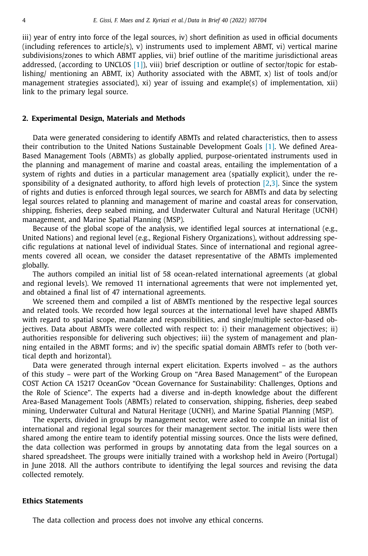iii) year of entry into force of the legal sources, iv) short definition as used in official documents  $(including references to article/s), v)$  instruments used to implement ABMT, vi) vertical marine subdivisions/zones to which ABMT applies, vii) brief outline of the maritime jurisdictional areas addressed, (according to UNCLOS [\[1\]\)](#page-4-0), viii) brief description or outline of sector/topic for establishing/ mentioning an ABMT, ix) Authority associated with the ABMT, x) list of tools and/or management strategies associated), xi) year of issuing and example(s) of implementation, xii) link to the primary legal source.

#### **2. Experimental Design, Materials and Methods**

Data were generated considering to identify ABMTs and related characteristics, then to assess their contribution to the United Nations Sustainable Development Goals [\[1\].](#page-4-0) We defined Area-Based Management Tools (ABMTs) as globally applied, purpose-orientated instruments used in the planning and management of marine and coastal areas, entailing the implementation of a system of rights and duties in a particular management area (spatially explicit), under the responsibility of a designated authority, to afford high levels of protection  $[2,3]$ . Since the system of rights and duties is enforced through legal sources, we search for ABMTs and data by selecting legal sources related to planning and management of marine and coastal areas for conservation, shipping, fisheries, deep seabed mining, and Underwater Cultural and Natural Heritage (UCNH) management, and Marine Spatial Planning (MSP).

Because of the global scope of the analysis, we identified legal sources at international (e.g., United Nations) and regional level (e.g., Regional Fishery Organizations), without addressing specific regulations at national level of individual States. Since of international and regional agreements covered all ocean, we consider the dataset representative of the ABMTs implemented globally.

The authors compiled an initial list of 58 ocean-related international agreements (at global and regional levels). We removed 11 international agreements that were not implemented yet, and obtained a final list of 47 international agreements.

We screened them and compiled a list of ABMTs mentioned by the respective legal sources and related tools. We recorded how legal sources at the international level have shaped ABMTs with regard to spatial scope, mandate and responsibilities, and single/multiple sector-based objectives. Data about ABMTs were collected with respect to: i) their management objectives; ii) authorities responsible for delivering such objectives; iii) the system of management and planning entailed in the ABMT forms; and iv) the specific spatial domain ABMTs refer to (both vertical depth and horizontal).

Data were generated through internal expert elicitation. Experts involved – as the authors of this study – were part of the Working Group on "Area Based Management" of the European COST Action CA 15217 OceanGov "Ocean Governance for Sustainability: Challenges, Options and the Role of Science". The experts had a diverse and in-depth knowledge about the different Area-Based Management Tools (ABMTs) related to conservation, shipping, fisheries, deep seabed mining, Underwater Cultural and Natural Heritage (UCNH), and Marine Spatial Planning (MSP).

The experts, divided in groups by management sector, were asked to compile an initial list of international and regional legal sources for their management sector. The initial lists were then shared among the entire team to identify potential missing sources. Once the lists were defined, the data collection was performed in groups by annotating data from the legal sources on a shared spreadsheet. The groups were initially trained with a workshop held in Aveiro (Portugal) in June 2018. All the authors contribute to identifying the legal sources and revising the data collected remotely.

## **Ethics Statements**

The data collection and process does not involve any ethical concerns.